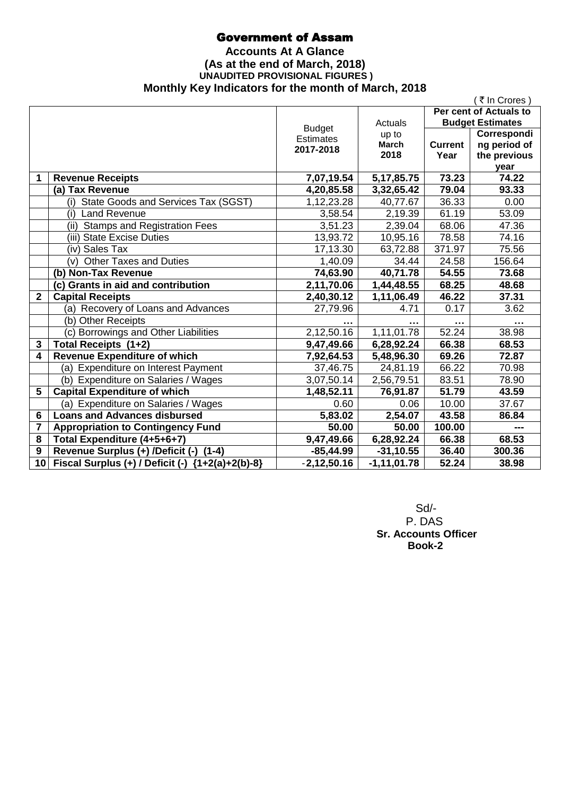# Government of Assam

### **Accounts At A Glance (As at the end of March, 2018) UNAUDITED PROVISIONAL FIGURES ) Monthly Key Indicators for the month of March, 2018**

|                 |                                                    |                  |                 |                | ₹ In Crores)            |
|-----------------|----------------------------------------------------|------------------|-----------------|----------------|-------------------------|
|                 |                                                    |                  |                 |                | Per cent of Actuals to  |
|                 |                                                    | <b>Budget</b>    | Actuals         |                | <b>Budget Estimates</b> |
|                 |                                                    | <b>Estimates</b> | up to           |                | Correspondi             |
|                 |                                                    | 2017-2018        | <b>March</b>    | <b>Current</b> | ng period of            |
|                 |                                                    |                  | 2018            | Year           | the previous            |
|                 |                                                    |                  |                 |                | year                    |
| 1               | <b>Revenue Receipts</b>                            | 7,07,19.54       | 5, 17, 85. 75   | 73.23          | 74.22                   |
|                 | (a) Tax Revenue                                    | 4,20,85.58       | 3,32,65.42      | 79.04          | 93.33                   |
|                 | (i) State Goods and Services Tax (SGST)            | 1,12,23.28       | 40,77.67        | 36.33          | 0.00                    |
|                 | (i) Land Revenue                                   | 3,58.54          | 2,19.39         | 61.19          | 53.09                   |
|                 | <b>Stamps and Registration Fees</b><br>(ii)        | 3,51.23          | 2,39.04         | 68.06          | 47.36                   |
|                 | (iii) State Excise Duties                          | 13,93.72         | 10,95.16        | 78.58          | 74.16                   |
|                 | (iv) Sales Tax                                     | 17,13.30         | 63,72.88        | 371.97         | 75.56                   |
|                 | <b>Other Taxes and Duties</b><br>(v)               | 1,40.09          | 34.44           | 24.58          | 156.64                  |
|                 | (b) Non-Tax Revenue                                | 74,63.90         | 40,71.78        | 54.55          | 73.68                   |
|                 | (c) Grants in aid and contribution                 | 2,11,70.06       | 1,44,48.55      | 68.25          | 48.68                   |
| $\mathbf{2}$    | <b>Capital Receipts</b>                            | 2,40,30.12       | 1,11,06.49      | 46.22          | 37.31                   |
|                 | (a) Recovery of Loans and Advances                 | 27,79.96         | 4.71            | 0.17           | 3.62                    |
|                 | (b) Other Receipts                                 |                  |                 |                |                         |
|                 | (c) Borrowings and Other Liabilities               | 2,12,50.16       | 1,11,01.78      | 52.24          | 38.98                   |
| 3               | Total Receipts (1+2)                               | 9,47,49.66       | 6,28,92.24      | 66.38          | 68.53                   |
| 4               | <b>Revenue Expenditure of which</b>                | 7,92,64.53       | 5,48,96.30      | 69.26          | 72.87                   |
|                 | (a) Expenditure on Interest Payment                | 37,46.75         | 24,81.19        | 66.22          | 70.98                   |
|                 | (b) Expenditure on Salaries / Wages                | 3,07,50.14       | 2,56,79.51      | 83.51          | 78.90                   |
| 5               | <b>Capital Expenditure of which</b>                | 1,48,52.11       | 76,91.87        | 51.79          | 43.59                   |
|                 | (a) Expenditure on Salaries / Wages                | 0.60             | 0.06            | 10.00          | 37.67                   |
| $6\phantom{1}6$ | <b>Loans and Advances disbursed</b>                | 5,83.02          | 2,54.07         | 43.58          | 86.84                   |
| 7               | <b>Appropriation to Contingency Fund</b>           | 50.00            | 50.00           | 100.00         |                         |
| 8               | Total Expenditure (4+5+6+7)                        | 9,47,49.66       | 6,28,92.24      | 66.38          | 68.53                   |
| 9               | Revenue Surplus (+) /Deficit (-) (1-4)             | $-85,44.99$      | $-31, 10.55$    | 36.40          | 300.36                  |
| 10 <sup>1</sup> | Fiscal Surplus (+) / Deficit (-) ${1+2(a)+2(b)-8}$ | $-2,12,50.16$    | $-1, 11, 01.78$ | 52.24          | 38.98                   |

 Sd/- P. DAS  **Sr. Accounts Officer Book-2**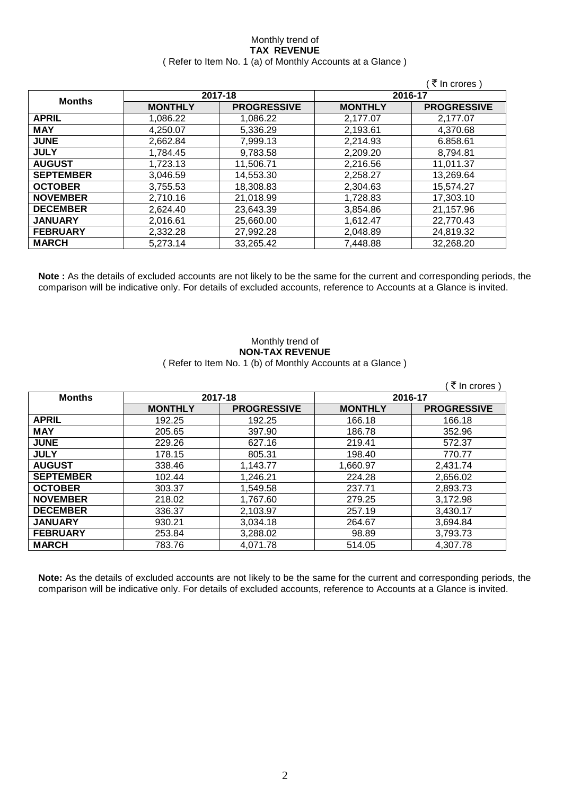#### Monthly trend of **TAX REVENUE** ( Refer to Item No. 1 (a) of Monthly Accounts at a Glance )

|                  |                |                    |                | ₹ In crores)       |
|------------------|----------------|--------------------|----------------|--------------------|
|                  | 2017-18        |                    | 2016-17        |                    |
| <b>Months</b>    | <b>MONTHLY</b> | <b>PROGRESSIVE</b> | <b>MONTHLY</b> | <b>PROGRESSIVE</b> |
| <b>APRIL</b>     | 1,086.22       | 1,086.22           | 2,177.07       | 2,177.07           |
| <b>MAY</b>       | 4,250.07       | 5,336.29           | 2,193.61       | 4,370.68           |
| <b>JUNE</b>      | 2,662.84       | 7,999.13           | 2,214.93       | 6.858.61           |
| <b>JULY</b>      | 1,784.45       | 9,783.58           | 2,209.20       | 8,794.81           |
| <b>AUGUST</b>    | 1,723.13       | 11,506.71          | 2,216.56       | 11,011.37          |
| <b>SEPTEMBER</b> | 3,046.59       | 14,553.30          | 2,258.27       | 13,269.64          |
| <b>OCTOBER</b>   | 3,755.53       | 18,308.83          | 2,304.63       | 15,574.27          |
| <b>NOVEMBER</b>  | 2,710.16       | 21,018.99          | 1,728.83       | 17,303.10          |
| <b>DECEMBER</b>  | 2,624.40       | 23,643.39          | 3,854.86       | 21,157.96          |
| <b>JANUARY</b>   | 2,016.61       | 25,660.00          | 1,612.47       | 22,770.43          |
| <b>FEBRUARY</b>  | 2,332.28       | 27,992.28          | 2,048.89       | 24,819.32          |
| <b>MARCH</b>     | 5,273.14       | 33,265.42          | 7,448.88       | 32,268.20          |

**Note :** As the details of excluded accounts are not likely to be the same for the current and corresponding periods, the comparison will be indicative only. For details of excluded accounts, reference to Accounts at a Glance is invited.

#### Monthly trend of **NON-TAX REVENUE** ( Refer to Item No. 1 (b) of Monthly Accounts at a Glance )

|                  |                |                    |                | ∶₹ In crores )     |
|------------------|----------------|--------------------|----------------|--------------------|
| <b>Months</b>    |                | 2017-18            | 2016-17        |                    |
|                  | <b>MONTHLY</b> | <b>PROGRESSIVE</b> | <b>MONTHLY</b> | <b>PROGRESSIVE</b> |
| <b>APRIL</b>     | 192.25         | 192.25             | 166.18         | 166.18             |
| <b>MAY</b>       | 205.65         | 397.90             | 186.78         | 352.96             |
| <b>JUNE</b>      | 229.26         | 627.16             | 219.41         | 572.37             |
| <b>JULY</b>      | 178.15         | 805.31             | 198.40         | 770.77             |
| <b>AUGUST</b>    | 338.46         | 1,143.77           | 1,660.97       | 2,431.74           |
| <b>SEPTEMBER</b> | 102.44         | 1,246.21           | 224.28         | 2,656.02           |
| <b>OCTOBER</b>   | 303.37         | 1,549.58           | 237.71         | 2,893.73           |
| <b>NOVEMBER</b>  | 218.02         | 1,767.60           | 279.25         | 3,172.98           |
| <b>DECEMBER</b>  | 336.37         | 2,103.97           | 257.19         | 3,430.17           |
| <b>JANUARY</b>   | 930.21         | 3,034.18           | 264.67         | 3,694.84           |
| <b>FEBRUARY</b>  | 253.84         | 3,288.02           | 98.89          | 3,793.73           |
| <b>MARCH</b>     | 783.76         | 4,071.78           | 514.05         | 4,307.78           |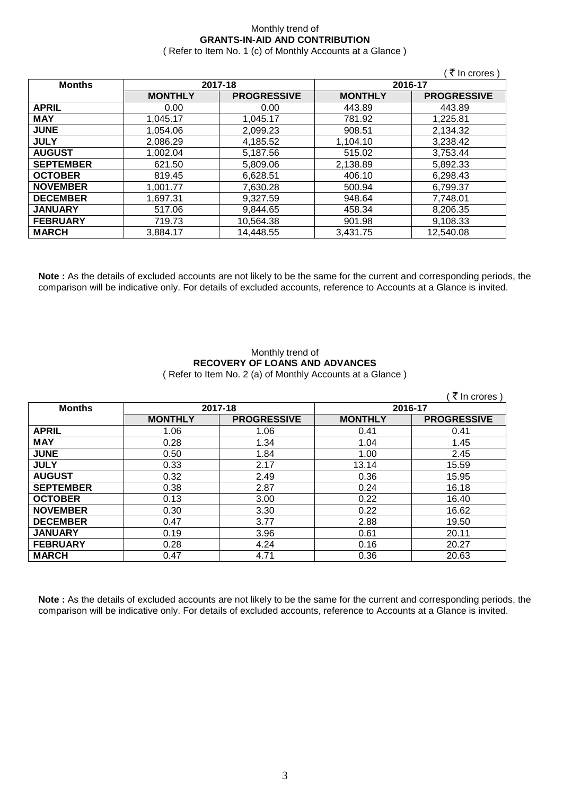## Monthly trend of **GRANTS-IN-AID AND CONTRIBUTION**

( Refer to Item No. 1 (c) of Monthly Accounts at a Glance )

 $\sqrt{7}$  In crores )

| <b>Months</b>    |                | 2017-18            | 2016-17        |                    |
|------------------|----------------|--------------------|----------------|--------------------|
|                  |                |                    |                |                    |
|                  | <b>MONTHLY</b> | <b>PROGRESSIVE</b> | <b>MONTHLY</b> | <b>PROGRESSIVE</b> |
| <b>APRIL</b>     | 0.00           | 0.00               | 443.89         | 443.89             |
| <b>MAY</b>       | 1.045.17       | 1,045.17           | 781.92         | 1,225.81           |
| <b>JUNE</b>      | 1.054.06       | 2,099.23           | 908.51         | 2,134.32           |
| <b>JULY</b>      | 2,086.29       | 4,185.52           | 1,104.10       | 3,238.42           |
| <b>AUGUST</b>    | 1,002.04       | 5,187.56           | 515.02         | 3,753.44           |
| <b>SEPTEMBER</b> | 621.50         | 5,809.06           | 2,138.89       | 5,892.33           |
| <b>OCTOBER</b>   | 819.45         | 6,628.51           | 406.10         | 6,298.43           |
| <b>NOVEMBER</b>  | 1.001.77       | 7,630.28           | 500.94         | 6,799.37           |
| <b>DECEMBER</b>  | 1,697.31       | 9,327.59           | 948.64         | 7,748.01           |
| <b>JANUARY</b>   | 517.06         | 9,844.65           | 458.34         | 8,206.35           |
| <b>FEBRUARY</b>  | 719.73         | 10,564.38          | 901.98         | 9,108.33           |
| <b>MARCH</b>     | 3.884.17       | 14,448.55          | 3.431.75       | 12,540.08          |

**Note :** As the details of excluded accounts are not likely to be the same for the current and corresponding periods, the comparison will be indicative only. For details of excluded accounts, reference to Accounts at a Glance is invited.

#### Monthly trend of **RECOVERY OF LOANS AND ADVANCES** ( Refer to Item No. 2 (a) of Monthly Accounts at a Glance )

| ्रे In crores )  |                |                    |                |                    |  |
|------------------|----------------|--------------------|----------------|--------------------|--|
| <b>Months</b>    | 2017-18        |                    | 2016-17        |                    |  |
|                  | <b>MONTHLY</b> | <b>PROGRESSIVE</b> | <b>MONTHLY</b> | <b>PROGRESSIVE</b> |  |
| <b>APRIL</b>     | 1.06           | 1.06               | 0.41           | 0.41               |  |
| <b>MAY</b>       | 0.28           | 1.34               | 1.04           | 1.45               |  |
| <b>JUNE</b>      | 0.50           | 1.84               | 1.00           | 2.45               |  |
| <b>JULY</b>      | 0.33           | 2.17               | 13.14          | 15.59              |  |
| <b>AUGUST</b>    | 0.32           | 2.49               | 0.36           | 15.95              |  |
| <b>SEPTEMBER</b> | 0.38           | 2.87               | 0.24           | 16.18              |  |
| <b>OCTOBER</b>   | 0.13           | 3.00               | 0.22           | 16.40              |  |
| <b>NOVEMBER</b>  | 0.30           | 3.30               | 0.22           | 16.62              |  |
| <b>DECEMBER</b>  | 0.47           | 3.77               | 2.88           | 19.50              |  |
| <b>JANUARY</b>   | 0.19           | 3.96               | 0.61           | 20.11              |  |
| <b>FEBRUARY</b>  | 0.28           | 4.24               | 0.16           | 20.27              |  |
| <b>MARCH</b>     | 0.47           | 4.71               | 0.36           | 20.63              |  |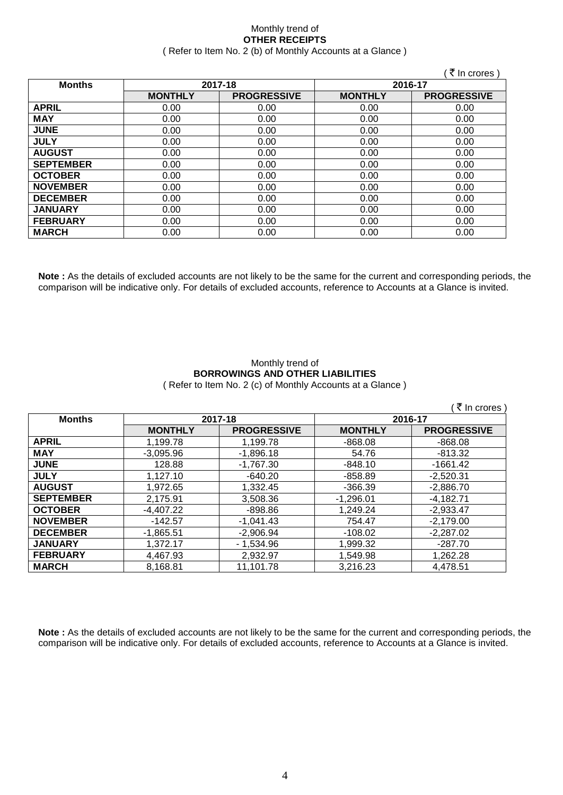#### Monthly trend of **OTHER RECEIPTS** ( Refer to Item No. 2 (b) of Monthly Accounts at a Glance )

|                  |                |                    |                | (₹In crores)       |
|------------------|----------------|--------------------|----------------|--------------------|
| <b>Months</b>    | 2017-18        |                    | 2016-17        |                    |
|                  | <b>MONTHLY</b> | <b>PROGRESSIVE</b> | <b>MONTHLY</b> | <b>PROGRESSIVE</b> |
| <b>APRIL</b>     | 0.00           | 0.00               | 0.00           | 0.00               |
| <b>MAY</b>       | 0.00           | 0.00               | 0.00           | 0.00               |
| <b>JUNE</b>      | 0.00           | 0.00               | 0.00           | 0.00               |
| <b>JULY</b>      | 0.00           | 0.00               | 0.00           | 0.00               |
| <b>AUGUST</b>    | 0.00           | 0.00               | 0.00           | 0.00               |
| <b>SEPTEMBER</b> | 0.00           | 0.00               | 0.00           | 0.00               |
| <b>OCTOBER</b>   | 0.00           | 0.00               | 0.00           | 0.00               |
| <b>NOVEMBER</b>  | 0.00           | 0.00               | 0.00           | 0.00               |
| <b>DECEMBER</b>  | 0.00           | 0.00               | 0.00           | 0.00               |
| <b>JANUARY</b>   | 0.00           | 0.00               | 0.00           | 0.00               |
| <b>FEBRUARY</b>  | 0.00           | 0.00               | 0.00           | 0.00               |
| <b>MARCH</b>     | 0.00           | 0.00               | 0.00           | 0.00               |

**Note :** As the details of excluded accounts are not likely to be the same for the current and corresponding periods, the comparison will be indicative only. For details of excluded accounts, reference to Accounts at a Glance is invited.

#### Monthly trend of **BORROWINGS AND OTHER LIABILITIES** ( Refer to Item No. 2 (c) of Monthly Accounts at a Glance )

| (₹ In crores)    |                |                    |                |                    |
|------------------|----------------|--------------------|----------------|--------------------|
| <b>Months</b>    | 2017-18        |                    | 2016-17        |                    |
|                  | <b>MONTHLY</b> | <b>PROGRESSIVE</b> | <b>MONTHLY</b> | <b>PROGRESSIVE</b> |
| <b>APRIL</b>     | 1,199.78       | 1,199.78           | $-868.08$      | $-868.08$          |
| <b>MAY</b>       | $-3.095.96$    | $-1.896.18$        | 54.76          | $-813.32$          |
| <b>JUNE</b>      | 128.88         | $-1,767.30$        | $-848.10$      | $-1661.42$         |
| <b>JULY</b>      | 1.127.10       | $-640.20$          | $-858.89$      | $-2.520.31$        |
| <b>AUGUST</b>    | 1,972.65       | 1.332.45           | $-366.39$      | $-2,886.70$        |
| <b>SEPTEMBER</b> | 2.175.91       | 3.508.36           | $-1.296.01$    | $-4.182.71$        |
| <b>OCTOBER</b>   | $-4.407.22$    | $-898.86$          | 1,249.24       | $-2,933.47$        |
| <b>NOVEMBER</b>  | $-142.57$      | $-1.041.43$        | 754.47         | $-2.179.00$        |
| <b>DECEMBER</b>  | $-1,865.51$    | $-2,906.94$        | -108.02        | $-2,287.02$        |
| <b>JANUARY</b>   | 1.372.17       | $-1.534.96$        | 1.999.32       | $-287.70$          |
| <b>FEBRUARY</b>  | 4.467.93       | 2.932.97           | 1.549.98       | 1,262.28           |
| <b>MARCH</b>     | 8.168.81       | 11.101.78          | 3.216.23       | 4.478.51           |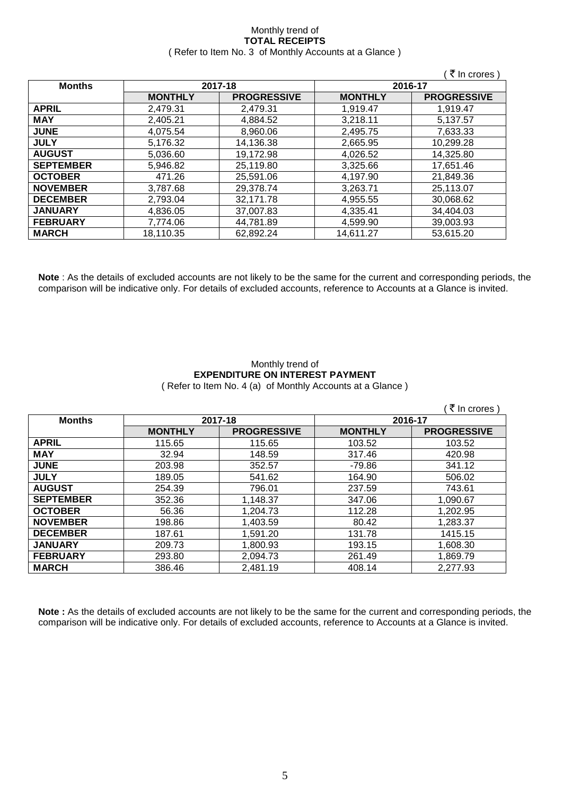#### Monthly trend of **TOTAL RECEIPTS** ( Refer to Item No. 3 of Monthly Accounts at a Glance )

|                  |                |                    |                | ∶ ₹ In crores )    |
|------------------|----------------|--------------------|----------------|--------------------|
| <b>Months</b>    |                | 2017-18            | 2016-17        |                    |
|                  | <b>MONTHLY</b> | <b>PROGRESSIVE</b> | <b>MONTHLY</b> | <b>PROGRESSIVE</b> |
| <b>APRIL</b>     | 2,479.31       | 2,479.31           | 1,919.47       | 1,919.47           |
| <b>MAY</b>       | 2.405.21       | 4.884.52           | 3.218.11       | 5.137.57           |
| <b>JUNE</b>      | 4.075.54       | 8,960.06           | 2.495.75       | 7.633.33           |
| <b>JULY</b>      | 5,176.32       | 14,136.38          | 2,665.95       | 10,299.28          |
| <b>AUGUST</b>    | 5,036.60       | 19,172.98          | 4,026.52       | 14,325.80          |
| <b>SEPTEMBER</b> | 5,946.82       | 25,119.80          | 3,325.66       | 17,651.46          |
| <b>OCTOBER</b>   | 471.26         | 25,591.06          | 4,197.90       | 21,849.36          |
| <b>NOVEMBER</b>  | 3,787.68       | 29,378.74          | 3,263.71       | 25,113.07          |
| <b>DECEMBER</b>  | 2.793.04       | 32,171.78          | 4,955.55       | 30.068.62          |
| <b>JANUARY</b>   | 4,836.05       | 37,007.83          | 4,335.41       | 34,404.03          |
| <b>FEBRUARY</b>  | 7,774.06       | 44,781.89          | 4,599.90       | 39,003.93          |
| <b>MARCH</b>     | 18,110.35      | 62,892.24          | 14,611.27      | 53,615.20          |

**Note** : As the details of excluded accounts are not likely to be the same for the current and corresponding periods, the comparison will be indicative only. For details of excluded accounts, reference to Accounts at a Glance is invited.

#### Monthly trend of **EXPENDITURE ON INTEREST PAYMENT** ( Refer to Item No. 4 (a) of Monthly Accounts at a Glance )

|                  |                |                    |                | ∶₹ In crores )     |
|------------------|----------------|--------------------|----------------|--------------------|
| <b>Months</b>    | 2017-18        |                    | 2016-17        |                    |
|                  | <b>MONTHLY</b> | <b>PROGRESSIVE</b> | <b>MONTHLY</b> | <b>PROGRESSIVE</b> |
| <b>APRIL</b>     | 115.65         | 115.65             | 103.52         | 103.52             |
| <b>MAY</b>       | 32.94          | 148.59             | 317.46         | 420.98             |
| <b>JUNE</b>      | 203.98         | 352.57             | $-79.86$       | 341.12             |
| <b>JULY</b>      | 189.05         | 541.62             | 164.90         | 506.02             |
| <b>AUGUST</b>    | 254.39         | 796.01             | 237.59         | 743.61             |
| <b>SEPTEMBER</b> | 352.36         | 1,148.37           | 347.06         | 1,090.67           |
| <b>OCTOBER</b>   | 56.36          | 1,204.73           | 112.28         | 1,202.95           |
| <b>NOVEMBER</b>  | 198.86         | 1,403.59           | 80.42          | 1,283.37           |
| <b>DECEMBER</b>  | 187.61         | 1,591.20           | 131.78         | 1415.15            |
| <b>JANUARY</b>   | 209.73         | 1,800.93           | 193.15         | 1,608.30           |
| <b>FEBRUARY</b>  | 293.80         | 2,094.73           | 261.49         | 1,869.79           |
| <b>MARCH</b>     | 386.46         | 2,481.19           | 408.14         | 2,277.93           |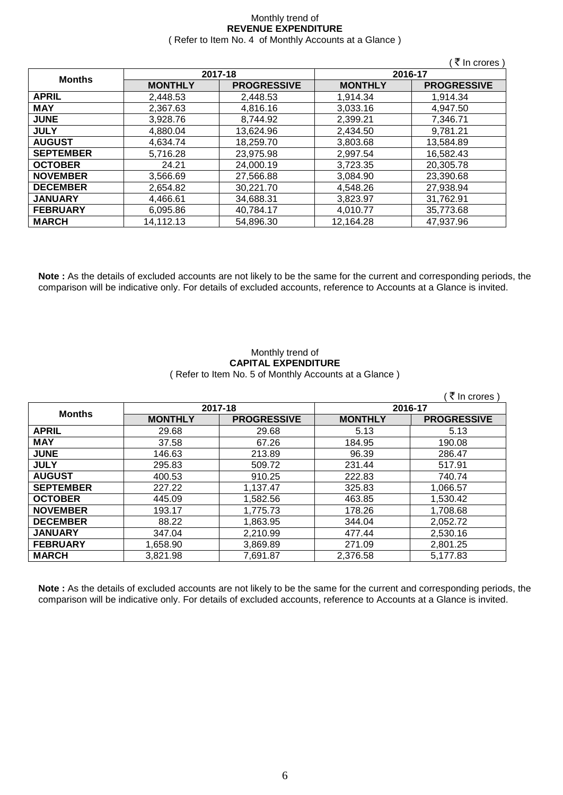#### Monthly trend of **REVENUE EXPENDITURE** ( Refer to Item No. 4 of Monthly Accounts at a Glance )

|                  |                |                    |                | ็ ₹ In crores)     |
|------------------|----------------|--------------------|----------------|--------------------|
|                  |                | 2017-18            | 2016-17        |                    |
| <b>Months</b>    | <b>MONTHLY</b> | <b>PROGRESSIVE</b> | <b>MONTHLY</b> | <b>PROGRESSIVE</b> |
| <b>APRIL</b>     | 2,448.53       | 2,448.53           | 1,914.34       | 1,914.34           |
| <b>MAY</b>       | 2,367.63       | 4,816.16           | 3,033.16       | 4,947.50           |
| <b>JUNE</b>      | 3,928.76       | 8,744.92           | 2,399.21       | 7,346.71           |
| <b>JULY</b>      | 4,880.04       | 13,624.96          | 2,434.50       | 9,781.21           |
| <b>AUGUST</b>    | 4.634.74       | 18,259.70          | 3.803.68       | 13,584.89          |
| <b>SEPTEMBER</b> | 5,716.28       | 23,975.98          | 2,997.54       | 16,582.43          |
| <b>OCTOBER</b>   | 24.21          | 24,000.19          | 3,723.35       | 20,305.78          |
| <b>NOVEMBER</b>  | 3,566.69       | 27,566.88          | 3,084.90       | 23,390.68          |
| <b>DECEMBER</b>  | 2,654.82       | 30,221.70          | 4.548.26       | 27,938.94          |
| <b>JANUARY</b>   | 4,466.61       | 34,688.31          | 3,823.97       | 31,762.91          |
| <b>FEBRUARY</b>  | 6.095.86       | 40,784.17          | 4.010.77       | 35,773.68          |
| <b>MARCH</b>     | 14,112.13      | 54,896.30          | 12,164.28      | 47,937.96          |

**Note :** As the details of excluded accounts are not likely to be the same for the current and corresponding periods, the comparison will be indicative only. For details of excluded accounts, reference to Accounts at a Glance is invited.

#### Monthly trend of **CAPITAL EXPENDITURE**  ( Refer to Item No. 5 of Monthly Accounts at a Glance )

|                  |                |                    |                | (₹ In crores)      |
|------------------|----------------|--------------------|----------------|--------------------|
|                  |                | 2017-18            |                | 2016-17            |
| <b>Months</b>    | <b>MONTHLY</b> | <b>PROGRESSIVE</b> | <b>MONTHLY</b> | <b>PROGRESSIVE</b> |
| <b>APRIL</b>     | 29.68          | 29.68              | 5.13           | 5.13               |
| <b>MAY</b>       | 37.58          | 67.26              | 184.95         | 190.08             |
| <b>JUNE</b>      | 146.63         | 213.89             | 96.39          | 286.47             |
| <b>JULY</b>      | 295.83         | 509.72             | 231.44         | 517.91             |
| <b>AUGUST</b>    | 400.53         | 910.25             | 222.83         | 740.74             |
| <b>SEPTEMBER</b> | 227.22         | 1,137.47           | 325.83         | 1,066.57           |
| <b>OCTOBER</b>   | 445.09         | 1,582.56           | 463.85         | 1,530.42           |
| <b>NOVEMBER</b>  | 193.17         | 1,775.73           | 178.26         | 1,708.68           |
| <b>DECEMBER</b>  | 88.22          | 1,863.95           | 344.04         | 2,052.72           |
| <b>JANUARY</b>   | 347.04         | 2,210.99           | 477.44         | 2,530.16           |
| <b>FEBRUARY</b>  | 1,658.90       | 3,869.89           | 271.09         | 2,801.25           |
| <b>MARCH</b>     | 3,821.98       | 7,691.87           | 2,376.58       | 5,177.83           |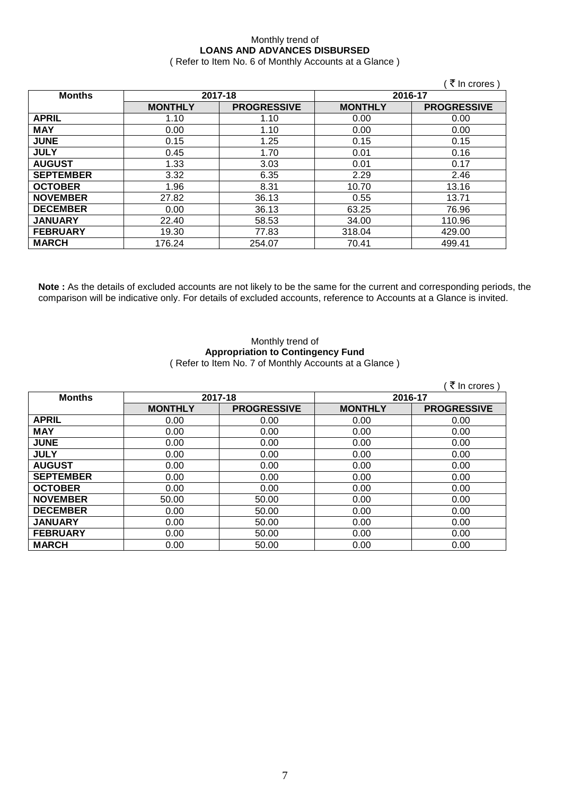## Monthly trend of **LOANS AND ADVANCES DISBURSED**

( Refer to Item No. 6 of Monthly Accounts at a Glance )

|                  |                |                    |                | (₹ In crores)      |
|------------------|----------------|--------------------|----------------|--------------------|
| <b>Months</b>    |                | 2017-18            | 2016-17        |                    |
|                  | <b>MONTHLY</b> | <b>PROGRESSIVE</b> | <b>MONTHLY</b> | <b>PROGRESSIVE</b> |
| <b>APRIL</b>     | 1.10           | 1.10               | 0.00           | 0.00               |
| <b>MAY</b>       | 0.00           | 1.10               | 0.00           | 0.00               |
| <b>JUNE</b>      | 0.15           | 1.25               | 0.15           | 0.15               |
| <b>JULY</b>      | 0.45           | 1.70               | 0.01           | 0.16               |
| <b>AUGUST</b>    | 1.33           | 3.03               | 0.01           | 0.17               |
| <b>SEPTEMBER</b> | 3.32           | 6.35               | 2.29           | 2.46               |
| <b>OCTOBER</b>   | 1.96           | 8.31               | 10.70          | 13.16              |
| <b>NOVEMBER</b>  | 27.82          | 36.13              | 0.55           | 13.71              |
| <b>DECEMBER</b>  | 0.00           | 36.13              | 63.25          | 76.96              |
| <b>JANUARY</b>   | 22.40          | 58.53              | 34.00          | 110.96             |
| <b>FEBRUARY</b>  | 19.30          | 77.83              | 318.04         | 429.00             |
| <b>MARCH</b>     | 176.24         | 254.07             | 70.41          | 499.41             |

**Note :** As the details of excluded accounts are not likely to be the same for the current and corresponding periods, the comparison will be indicative only. For details of excluded accounts, reference to Accounts at a Glance is invited.

#### Monthly trend of **Appropriation to Contingency Fund** ( Refer to Item No. 7 of Monthly Accounts at a Glance )

|                  |                |                    |                | ∶ ₹ In crores)     |
|------------------|----------------|--------------------|----------------|--------------------|
| <b>Months</b>    | 2017-18        |                    | 2016-17        |                    |
|                  | <b>MONTHLY</b> | <b>PROGRESSIVE</b> | <b>MONTHLY</b> | <b>PROGRESSIVE</b> |
| <b>APRIL</b>     | 0.00           | 0.00               | 0.00           | 0.00               |
| <b>MAY</b>       | 0.00           | 0.00               | 0.00           | 0.00               |
| <b>JUNE</b>      | 0.00           | 0.00               | 0.00           | 0.00               |
| <b>JULY</b>      | 0.00           | 0.00               | 0.00           | 0.00               |
| <b>AUGUST</b>    | 0.00           | 0.00               | 0.00           | 0.00               |
| <b>SEPTEMBER</b> | 0.00           | 0.00               | 0.00           | 0.00               |
| <b>OCTOBER</b>   | 0.00           | 0.00               | 0.00           | 0.00               |
| <b>NOVEMBER</b>  | 50.00          | 50.00              | 0.00           | 0.00               |
| <b>DECEMBER</b>  | 0.00           | 50.00              | 0.00           | 0.00               |
| <b>JANUARY</b>   | 0.00           | 50.00              | 0.00           | 0.00               |
| <b>FEBRUARY</b>  | 0.00           | 50.00              | 0.00           | 0.00               |
| <b>MARCH</b>     | 0.00           | 50.00              | 0.00           | 0.00               |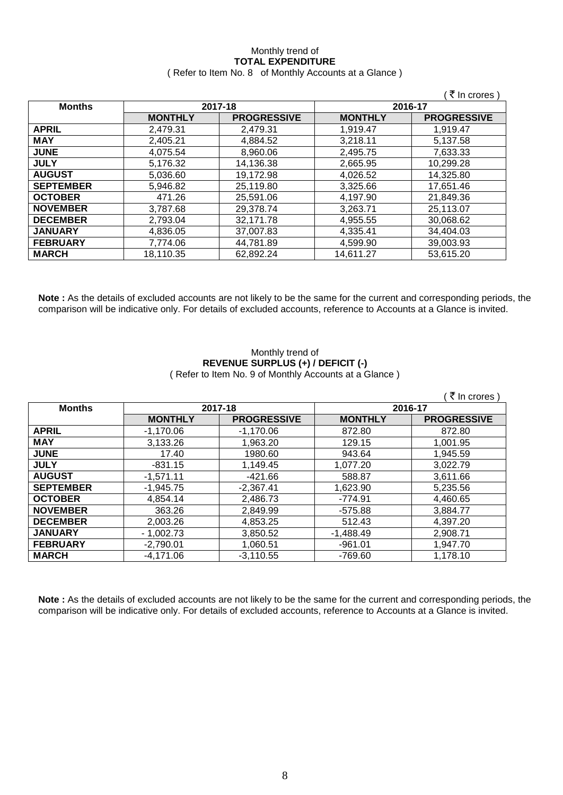#### Monthly trend of **TOTAL EXPENDITURE** ( Refer to Item No. 8 of Monthly Accounts at a Glance )

|                 |                |                    |                | ( ₹ In crores )    |
|-----------------|----------------|--------------------|----------------|--------------------|
| <b>Months</b>   | 2017-18        |                    | 2016-17        |                    |
|                 | <b>MONTHLY</b> | <b>PROGRESSIVE</b> | <b>MONTHLY</b> | <b>PROGRESSIVE</b> |
| <b>APRIL</b>    | 2,479.31       | 2,479.31           | 1,919.47       | 1,919.47           |
| <b>MAY</b>      | 2,405.21       | 4,884.52           | 3,218.11       | 5,137.58           |
| <b>JUNE</b>     | 4.075.54       | 8.960.06           | 2,495.75       | 7,633.33           |
| <b>JULY</b>     | 5,176.32       | 14,136.38          | 2,665.95       | 10,299.28          |
| <b>AUGUST</b>   | 5,036.60       | 19,172.98          | 4,026.52       | 14,325.80          |
| SEPTEMBER       | 5,946.82       | 25,119.80          | 3,325.66       | 17,651.46          |
| OCTOBER         | 471.26         | 25,591.06          | 4,197.90       | 21,849.36          |
| <b>NOVEMBER</b> | 3,787.68       | 29.378.74          | 3,263.71       | 25,113.07          |
| <b>DECEMBER</b> | 2,793.04       | 32,171.78          | 4,955.55       | 30,068.62          |
| <b>JANUARY</b>  | 4.836.05       | 37,007.83          | 4.335.41       | 34.404.03          |
| <b>FEBRUARY</b> | 7,774.06       | 44,781.89          | 4,599.90       | 39,003.93          |
| <b>MARCH</b>    | 18,110.35      | 62,892.24          | 14,611.27      | 53,615.20          |

**Note :** As the details of excluded accounts are not likely to be the same for the current and corresponding periods, the comparison will be indicative only. For details of excluded accounts, reference to Accounts at a Glance is invited.

#### Monthly trend of **REVENUE SURPLUS (+) / DEFICIT (-)** ( Refer to Item No. 9 of Monthly Accounts at a Glance )

|                  |                |                    |                | ₹ In crores )      |
|------------------|----------------|--------------------|----------------|--------------------|
| <b>Months</b>    | 2017-18        |                    | 2016-17        |                    |
|                  | <b>MONTHLY</b> | <b>PROGRESSIVE</b> | <b>MONTHLY</b> | <b>PROGRESSIVE</b> |
| <b>APRIL</b>     | $-1.170.06$    | $-1,170.06$        | 872.80         | 872.80             |
| <b>MAY</b>       | 3,133.26       | 1,963.20           | 129.15         | 1,001.95           |
| <b>JUNE</b>      | 17.40          | 1980.60            | 943.64         | 1,945.59           |
| <b>JULY</b>      | $-831.15$      | 1,149.45           | 1.077.20       | 3,022.79           |
| <b>AUGUST</b>    | $-1,571.11$    | $-421.66$          | 588.87         | 3,611.66           |
| <b>SEPTEMBER</b> | $-1,945.75$    | $-2,367.41$        | 1,623.90       | 5,235.56           |
| <b>OCTOBER</b>   | 4.854.14       | 2,486.73           | $-774.91$      | 4,460.65           |
| <b>NOVEMBER</b>  | 363.26         | 2,849.99           | $-575.88$      | 3,884.77           |
| <b>DECEMBER</b>  | 2,003.26       | 4,853.25           | 512.43         | 4,397.20           |
| <b>JANUARY</b>   | $-1.002.73$    | 3,850.52           | $-1.488.49$    | 2,908.71           |
| <b>FEBRUARY</b>  | $-2,790.01$    | 1,060.51           | $-961.01$      | 1,947.70           |
| <b>MARCH</b>     | $-4,171.06$    | $-3,110.55$        | -769.60        | 1,178.10           |